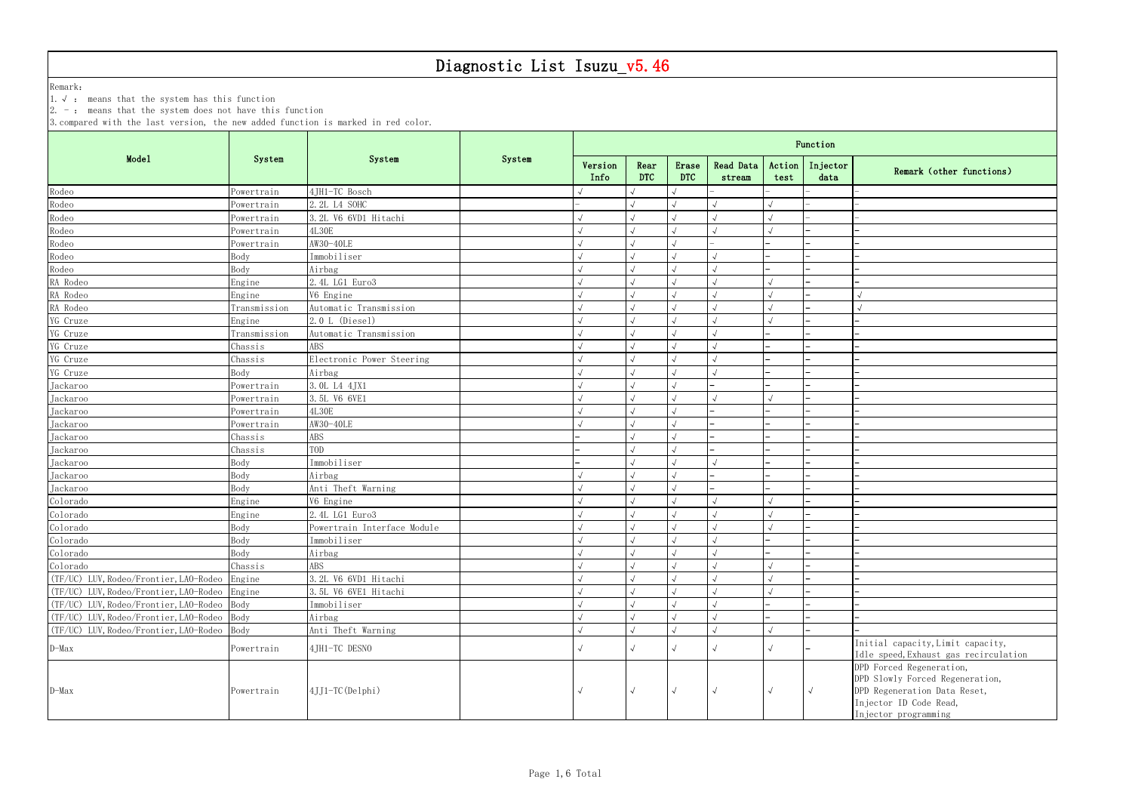Remark:

1.√ : means that the system has this function

2. - : means that the system does not have this function

3.compared with the last version, the new added function is marked in red color.

|    | Function                 |                                                |
|----|--------------------------|------------------------------------------------|
| ı. | Injector<br>data         | Remark (other functions)                       |
|    | -                        | L.                                             |
|    | $\overline{\phantom{0}}$ |                                                |
|    | ▃                        |                                                |
|    |                          | $\overline{\phantom{0}}$                       |
|    | $\overline{\phantom{0}}$ | L,                                             |
|    |                          | $\overline{\phantom{0}}$                       |
|    |                          |                                                |
|    |                          |                                                |
|    |                          | $\sqrt{ }$                                     |
|    |                          | $\sqrt{ }$                                     |
|    |                          |                                                |
|    |                          |                                                |
|    |                          |                                                |
|    |                          |                                                |
|    |                          |                                                |
|    |                          |                                                |
|    |                          |                                                |
|    |                          |                                                |
|    |                          |                                                |
|    |                          |                                                |
|    |                          |                                                |
|    |                          |                                                |
|    |                          |                                                |
|    |                          | $\overline{\phantom{0}}$                       |
|    | -                        |                                                |
|    |                          |                                                |
|    |                          |                                                |
|    | -                        | ▃                                              |
|    | $\overline{\phantom{0}}$ | $\overline{\phantom{0}}$                       |
|    | $\overline{\phantom{0}}$ | L,                                             |
|    |                          | -                                              |
|    | $\overline{\phantom{0}}$ | $\overline{\phantom{0}}$                       |
|    |                          | -                                              |
|    | ▃                        |                                                |
|    |                          |                                                |
|    |                          | Initial capacity, Limit capacity,              |
|    |                          | Idle speed, Exhaust gas recirculation          |
|    |                          | DPD Forced Regeneration,                       |
|    |                          | DPD Slowly Forced Regeneration,                |
|    | $\sqrt{ }$               | DPD Regeneration Data Reset,                   |
|    |                          | Injector ID Code Read,<br>Injector programming |
|    |                          |                                                |

|                                             |              |                             |        | Function        |                    |              |                     |                |                  |                                                                                                                                               |  |  |  |
|---------------------------------------------|--------------|-----------------------------|--------|-----------------|--------------------|--------------|---------------------|----------------|------------------|-----------------------------------------------------------------------------------------------------------------------------------------------|--|--|--|
| Mode1                                       | System       | System                      | System | Version<br>Info | Rear<br><b>DTC</b> | Erase<br>DTC | Read Data<br>stream | Action<br>test | Injector<br>data | Remark (other functions)                                                                                                                      |  |  |  |
| Rodeo                                       | Powertrain   | 4JH1-TC Bosch               |        |                 |                    |              |                     |                |                  |                                                                                                                                               |  |  |  |
| Rodeo                                       | Powertrain   | 2.2L L4 SOHC                |        |                 |                    |              |                     |                |                  |                                                                                                                                               |  |  |  |
| Rodeo                                       | Powertrain   | 3.2L V6 6VD1 Hitachi        |        |                 |                    |              |                     |                |                  |                                                                                                                                               |  |  |  |
| Rodeo                                       | Powertrain   | <b>4L30E</b>                |        |                 |                    |              |                     |                |                  |                                                                                                                                               |  |  |  |
| Rodeo                                       | Powertrain   | AW30-40LE                   |        | $\sqrt{ }$      |                    |              |                     |                |                  |                                                                                                                                               |  |  |  |
| Rodeo                                       | Body         | Immobiliser                 |        |                 |                    |              | $\sqrt{ }$          |                |                  |                                                                                                                                               |  |  |  |
| Rodeo                                       | Body         | Airbag                      |        |                 |                    |              |                     |                |                  |                                                                                                                                               |  |  |  |
| RA Rodeo                                    | Engine       | 2.4L LG1 Euro3              |        |                 |                    |              |                     |                |                  |                                                                                                                                               |  |  |  |
| RA Rodeo                                    | Engine       | V6 Engine                   |        |                 |                    |              |                     |                |                  |                                                                                                                                               |  |  |  |
| RA Rodeo                                    | Transmission | Automatic Transmission      |        |                 |                    |              | $\sqrt{ }$          |                |                  |                                                                                                                                               |  |  |  |
| YG Cruze                                    | Engine       | 2.0 L (Diesel)              |        |                 |                    |              |                     |                |                  |                                                                                                                                               |  |  |  |
| YG Cruze                                    | Transmission | Automatic Transmission      |        |                 |                    |              |                     |                |                  |                                                                                                                                               |  |  |  |
| YG Cruze                                    | Chassis      | ABS                         |        |                 |                    |              |                     |                |                  |                                                                                                                                               |  |  |  |
| YG Cruze                                    | Chassis      | Electronic Power Steering   |        |                 |                    |              |                     |                |                  |                                                                                                                                               |  |  |  |
| YG Cruze                                    | Body         | Airbag                      |        |                 |                    |              |                     |                |                  |                                                                                                                                               |  |  |  |
| Jackaroo                                    | Powertrain   | 3. OL L4 4JX1               |        |                 |                    |              |                     |                |                  |                                                                                                                                               |  |  |  |
| Jackaroo                                    | Powertrain   | 3.5L V6 6VE1                |        |                 |                    |              |                     |                |                  |                                                                                                                                               |  |  |  |
| Jackaroo                                    | Powertrain   | <b>4L30E</b>                |        |                 |                    |              |                     |                |                  |                                                                                                                                               |  |  |  |
| Jackaroo                                    | Powertrain   | AW30-40LE                   |        |                 |                    |              |                     |                |                  |                                                                                                                                               |  |  |  |
| Jackaroo                                    | Chassis      | ABS                         |        |                 |                    |              |                     |                |                  |                                                                                                                                               |  |  |  |
| Jackaroo                                    | Chassis      | TOD                         |        |                 |                    |              |                     |                |                  |                                                                                                                                               |  |  |  |
| Jackaroo                                    | Body         | Immobiliser                 |        |                 |                    |              |                     |                |                  |                                                                                                                                               |  |  |  |
| Jackaroo                                    | Body         | Airbag                      |        |                 |                    |              |                     |                |                  |                                                                                                                                               |  |  |  |
| Jackaroo                                    | Body         | Anti Theft Warning          |        | $\sqrt{2}$      |                    |              |                     |                |                  |                                                                                                                                               |  |  |  |
| Colorado                                    | Engine       | V6 Engine                   |        |                 |                    |              |                     |                |                  |                                                                                                                                               |  |  |  |
| Colorado                                    | Engine       | 2.4L LG1 Euro3              |        |                 |                    |              |                     |                |                  |                                                                                                                                               |  |  |  |
| Colorado                                    | Body         | Powertrain Interface Module |        |                 |                    |              |                     |                |                  |                                                                                                                                               |  |  |  |
| Colorado                                    | Body         | Immobiliser                 |        |                 |                    |              |                     |                |                  |                                                                                                                                               |  |  |  |
| Colorado                                    | Body         | Airbag                      |        |                 |                    |              |                     |                |                  |                                                                                                                                               |  |  |  |
| Colorado                                    | Chassis      | ABS                         |        | $\sqrt{ }$      | $\sqrt{}$          | $\sqrt{2}$   | $\sqrt{ }$          |                |                  |                                                                                                                                               |  |  |  |
| (TF/UC) LUV, Rodeo/Frontier, LAO-Rodeo      | Engine       | 3.2L V6 6VD1 Hitachi        |        |                 |                    |              |                     |                |                  |                                                                                                                                               |  |  |  |
| (TF/UC) LUV, Rodeo/Frontier, LAO-Rodeo      | Engine       | 3.5L V6 6VE1 Hitachi        |        | $\sqrt{2}$      |                    |              | $\sqrt{ }$          |                |                  |                                                                                                                                               |  |  |  |
| (TF/UC) LUV, Rodeo/Frontier, LAO-Rodeo      | Body         | Immobiliser                 |        |                 |                    |              | $\sqrt{ }$          |                |                  |                                                                                                                                               |  |  |  |
| (TF/UC) LUV, Rodeo/Frontier, LAO-Rodeo Body |              | Airbag                      |        |                 |                    |              |                     |                |                  |                                                                                                                                               |  |  |  |
| (TF/UC) LUV, Rodeo/Frontier, LAO-Rodeo      | Body         | Anti Theft Warning          |        |                 | $\sqrt{2}$         |              | $\sqrt{ }$          |                |                  |                                                                                                                                               |  |  |  |
|                                             |              |                             |        |                 |                    |              |                     |                |                  | Initial capacity, Limit capacity,                                                                                                             |  |  |  |
| $D-Max$                                     | Powertrain   | 4JH1-TC DESNO               |        |                 |                    |              |                     |                |                  | Idle speed, Exhaust gas recirculation                                                                                                         |  |  |  |
| $D-Max$                                     | Powertrain   | 4JJ1-TC (Delphi)            |        | $\sqrt{ }$      | $\sqrt{ }$         | $\sqrt{ }$   | $\sqrt{ }$          | $\sqrt{ }$     | $\sqrt{ }$       | DPD Forced Regeneration,<br>DPD Slowly Forced Regeneration,<br>DPD Regeneration Data Reset,<br>Injector ID Code Read,<br>Injector programming |  |  |  |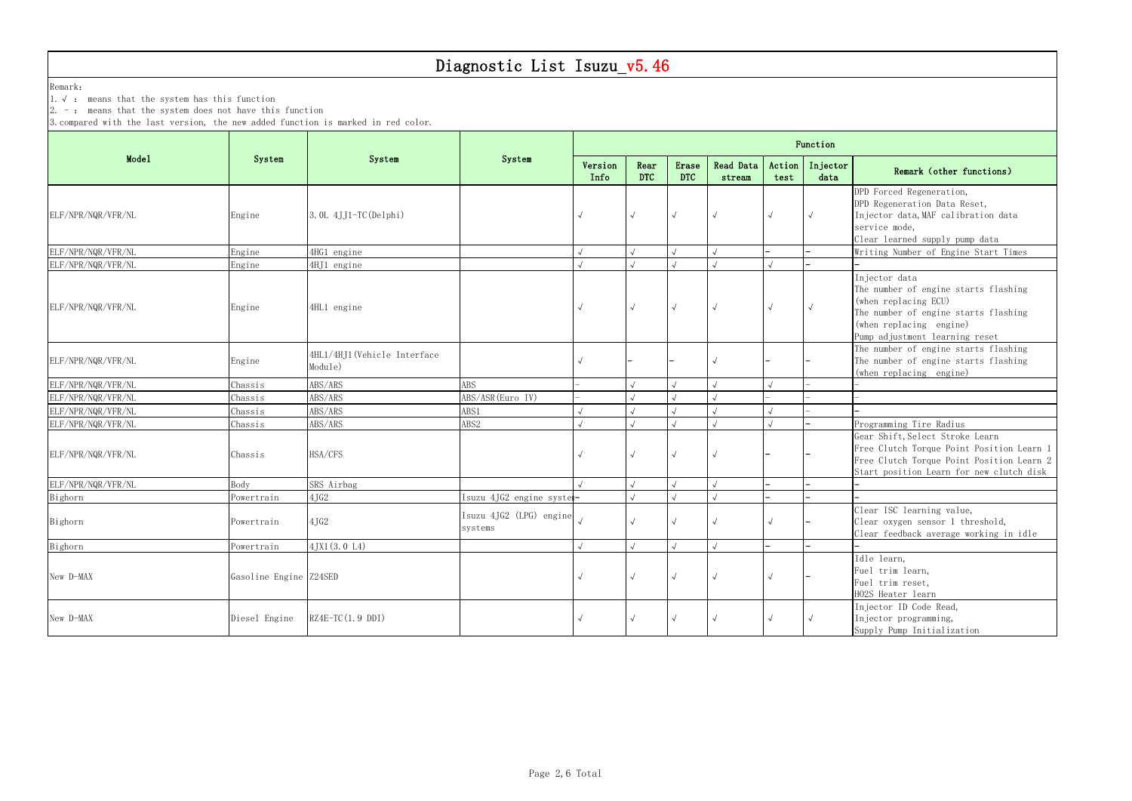Remark:

1.√ : means that the system has this function

 $\vert 2.$  -: means that the system does not have this function

3.compared with the last version, the new added function is marked in red color.

|                    |                        |                                         |                                    | Function        |                    |                     |                     |                |                  |                                                                                                                                                                                    |  |  |  |  |  |
|--------------------|------------------------|-----------------------------------------|------------------------------------|-----------------|--------------------|---------------------|---------------------|----------------|------------------|------------------------------------------------------------------------------------------------------------------------------------------------------------------------------------|--|--|--|--|--|
| Mode1              | System                 | System                                  | System                             | Version<br>Info | Rear<br><b>DTC</b> | Erase<br><b>DTC</b> | Read Data<br>stream | Action<br>test | Injector<br>data | Remark (other functions)                                                                                                                                                           |  |  |  |  |  |
| ELF/NPR/NQR/VFR/NL | Engine                 | 3. OL 4JJ1-TC (Delphi)                  |                                    | $\sqrt{ }$      | $\sqrt{ }$         |                     |                     |                | $\sqrt{ }$       | DPD Forced Regeneration,<br>DPD Regeneration Data Reset,<br>Injector data, MAF calibration data<br>service mode,<br>Clear learned supply pump data                                 |  |  |  |  |  |
| ELF/NPR/NQR/VFR/NL | Engine                 | 4HG1 engine                             |                                    |                 |                    |                     |                     |                |                  | Writing Number of Engine Start Times                                                                                                                                               |  |  |  |  |  |
| ELF/NPR/NQR/VFR/NL | Engine                 | 4HJ1 engine                             |                                    |                 |                    |                     |                     |                |                  |                                                                                                                                                                                    |  |  |  |  |  |
| ELF/NPR/NQR/VFR/NL | Engine                 | 4HL1 engine                             |                                    |                 | $\sqrt{ }$         |                     |                     |                |                  | Injector data<br>The number of engine starts flashing<br>(when replacing ECU)<br>The number of engine starts flashing<br>(when replacing engine)<br>Pump adjustment learning reset |  |  |  |  |  |
| ELF/NPR/NQR/VFR/NL | Engine                 | 4HL1/4HJ1 (Vehicle Interface<br>Module) |                                    |                 |                    |                     |                     |                |                  | The number of engine starts flashing<br>The number of engine starts flashing<br>(when replacing engine)                                                                            |  |  |  |  |  |
| ELF/NPR/NQR/VFR/NL | Chassis                | ABS/ARS                                 | <b>ABS</b>                         |                 |                    |                     |                     |                |                  |                                                                                                                                                                                    |  |  |  |  |  |
| ELF/NPR/NQR/VFR/NL | Chassis                | ABS/ARS                                 | ABS/ASR (Euro IV)                  |                 |                    |                     |                     |                |                  |                                                                                                                                                                                    |  |  |  |  |  |
| ELF/NPR/NQR/VFR/NL | Chassis                | ABS/ARS                                 | ABS1                               |                 |                    |                     |                     |                |                  |                                                                                                                                                                                    |  |  |  |  |  |
| ELF/NPR/NQR/VFR/NL | Chassis                | ABS/ARS                                 | ABS2                               |                 |                    |                     |                     |                |                  | Programming Tire Radius                                                                                                                                                            |  |  |  |  |  |
| ELF/NPR/NQR/VFR/NL | Chassis                | HSA/CFS                                 |                                    |                 | $\sqrt{ }$         |                     |                     |                |                  | Gear Shift, Select Stroke Learn<br>Free Clutch Torque Point Position Learn 1<br>Free Clutch Torque Point Position Learn 2<br>Start position Learn for new clutch disk              |  |  |  |  |  |
| ELF/NPR/NQR/VFR/NL | Body                   | SRS Airbag                              |                                    |                 |                    |                     |                     |                |                  |                                                                                                                                                                                    |  |  |  |  |  |
| Bighorn            | Powertrain             | 4JG2                                    | Isuzu 4JG2 engine syste            |                 |                    |                     |                     |                |                  |                                                                                                                                                                                    |  |  |  |  |  |
| Bighorn            | Powertrain             | 4JG2                                    | Isuzu 4JG2 (LPG) engine<br>systems |                 | $\sqrt{ }$         |                     |                     |                |                  | Clear ISC learning value,<br>Clear oxygen sensor 1 threshold,<br>Clear feedback average working in idle                                                                            |  |  |  |  |  |
| Bighorn            | Powertrain             | 4JX1(3.0 L4)                            |                                    |                 |                    |                     |                     |                |                  |                                                                                                                                                                                    |  |  |  |  |  |
| New D-MAX          | Gasoline Engine Z24SED |                                         |                                    | $\sqrt{ }$      | $\sqrt{ }$         |                     |                     | $\sqrt{ }$     |                  | Idle learn,<br>Fuel trim learn,<br>Fuel trim reset,<br>HO2S Heater learn                                                                                                           |  |  |  |  |  |
| New D-MAX          | Diesel Engine          | $RZ4E-TC(1.9 DDI)$                      |                                    |                 |                    |                     |                     |                | $\sqrt{ }$       | Injector ID Code Read,<br>Injector programming,<br>Supply Pump Initialization                                                                                                      |  |  |  |  |  |

#### data Remark (other functions)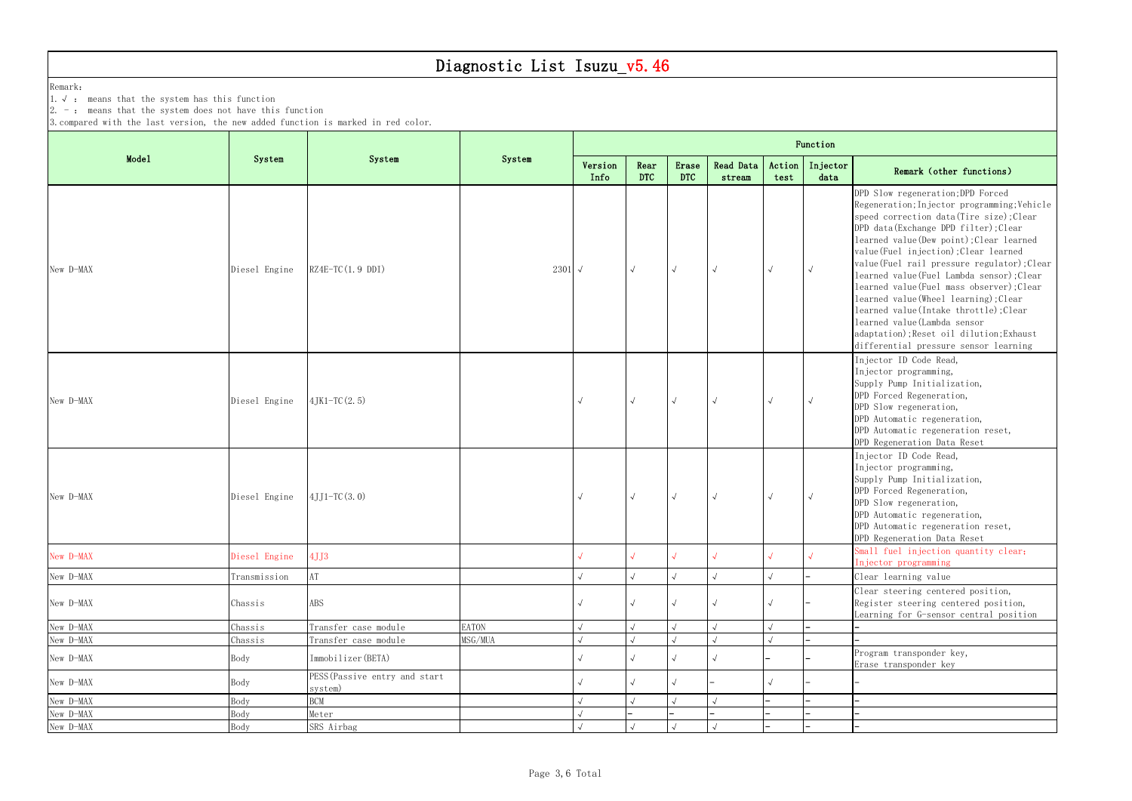Remark:

1.√ : means that the system has this function

 $\vert 2.$  -: means that the system does not have this function

3.compared with the last version, the new added function is marked in red color.

|                        |                 |                                            |                 | Function        |                    |                     |                         |                  |                  |                                                                                                                                                                                                                                                                                                                                                                                                                                                                                                                                                                                                      |  |  |  |  |  |
|------------------------|-----------------|--------------------------------------------|-----------------|-----------------|--------------------|---------------------|-------------------------|------------------|------------------|------------------------------------------------------------------------------------------------------------------------------------------------------------------------------------------------------------------------------------------------------------------------------------------------------------------------------------------------------------------------------------------------------------------------------------------------------------------------------------------------------------------------------------------------------------------------------------------------------|--|--|--|--|--|
| Mode1                  | System          | System                                     | System          | Version<br>Info | Rear<br><b>DTC</b> | Erase<br><b>DTC</b> | Read Data<br>stream     | Action  <br>test | Injector<br>data | Remark (other functions)                                                                                                                                                                                                                                                                                                                                                                                                                                                                                                                                                                             |  |  |  |  |  |
| New D-MAX              | Diesel Engine   | $RZ4E-TC(1.9 DDI)$                         | 2301 $\sqrt{ }$ |                 | $\sqrt{}$          | $\sqrt{}$           | $\overline{\mathbf{v}}$ | $\sqrt{ }$       |                  | DPD Slow regeneration; DPD Forced<br>Regeneration; Injector programming; Vehicle<br>speed correction data(Tire size); Clear<br>DPD data(Exchange DPD filter); Clear<br>learned value (Dew point); Clear learned<br>value (Fuel injection); Clear learned<br>value(Fuel rail pressure regulator); Clear<br>learned value(Fuel Lambda sensor); Clear<br>learned value(Fuel mass observer); Clear<br>learned value(Wheel learning); Clear<br>learned value(Intake throttle); Clear<br>learned value (Lambda sensor<br>adaptation); Reset oil dilution; Exhaust<br>differential pressure sensor learning |  |  |  |  |  |
| New D-MAX              | Diesel Engine   | $4$ JK1-TC $(2.5)$                         |                 |                 | $\sqrt{ }$         | $\sqrt{ }$          |                         | $\sqrt{ }$       |                  | Injector ID Code Read,<br>Injector programming,<br>Supply Pump Initialization,<br>DPD Forced Regeneration,<br>DPD Slow regeneration,<br>DPD Automatic regeneration,<br>DPD Automatic regeneration reset,<br>DPD Regeneration Data Reset                                                                                                                                                                                                                                                                                                                                                              |  |  |  |  |  |
| New D-MAX              | Diesel Engine   | $4JJ1-TC(3.0)$                             |                 |                 | $\sqrt{2}$         | $\sqrt{ }$          | $\sqrt{ }$              | $\sqrt{ }$       |                  | Injector ID Code Read,<br>Injector programming,<br>Supply Pump Initialization,<br>DPD Forced Regeneration,<br>DPD Slow regeneration,<br>DPD Automatic regeneration,<br>DPD Automatic regeneration reset,<br>DPD Regeneration Data Reset                                                                                                                                                                                                                                                                                                                                                              |  |  |  |  |  |
| New D-MAX              | Diesel Engine   | 4JJ3                                       |                 |                 |                    |                     |                         |                  |                  | Small fuel injection quantity clear;<br>Injector programming                                                                                                                                                                                                                                                                                                                                                                                                                                                                                                                                         |  |  |  |  |  |
| New D-MAX              | Transmission    | AT                                         |                 |                 |                    |                     |                         |                  |                  | Clear learning value                                                                                                                                                                                                                                                                                                                                                                                                                                                                                                                                                                                 |  |  |  |  |  |
| New D-MAX              | Chassis         | ABS                                        |                 |                 |                    |                     |                         |                  |                  | Clear steering centered position,<br>Register steering centered position,<br>Learning for G-sensor central position                                                                                                                                                                                                                                                                                                                                                                                                                                                                                  |  |  |  |  |  |
| New D-MAX              | Chassis         | Transfer case module                       | <b>EATON</b>    |                 |                    |                     |                         |                  |                  |                                                                                                                                                                                                                                                                                                                                                                                                                                                                                                                                                                                                      |  |  |  |  |  |
| New D-MAX<br>New D-MAX | Chassis<br>Body | Transfer case module<br>Immobilizer (BETA) | MSG/MUA         |                 |                    |                     |                         |                  |                  | Program transponder key,                                                                                                                                                                                                                                                                                                                                                                                                                                                                                                                                                                             |  |  |  |  |  |
| New D-MAX              | Body            | PESS (Passive entry and start<br>system)   |                 |                 |                    |                     |                         |                  |                  | Erase transponder key                                                                                                                                                                                                                                                                                                                                                                                                                                                                                                                                                                                |  |  |  |  |  |
| New D-MAX              | Body            | <b>BCM</b>                                 |                 |                 |                    |                     |                         |                  |                  |                                                                                                                                                                                                                                                                                                                                                                                                                                                                                                                                                                                                      |  |  |  |  |  |
| New D-MAX              | Body            | Meter                                      |                 |                 |                    |                     |                         |                  |                  |                                                                                                                                                                                                                                                                                                                                                                                                                                                                                                                                                                                                      |  |  |  |  |  |
| New D-MAX              | Body            | SRS Airbag                                 |                 |                 |                    |                     |                         |                  |                  |                                                                                                                                                                                                                                                                                                                                                                                                                                                                                                                                                                                                      |  |  |  |  |  |

#### data Remark (other functions)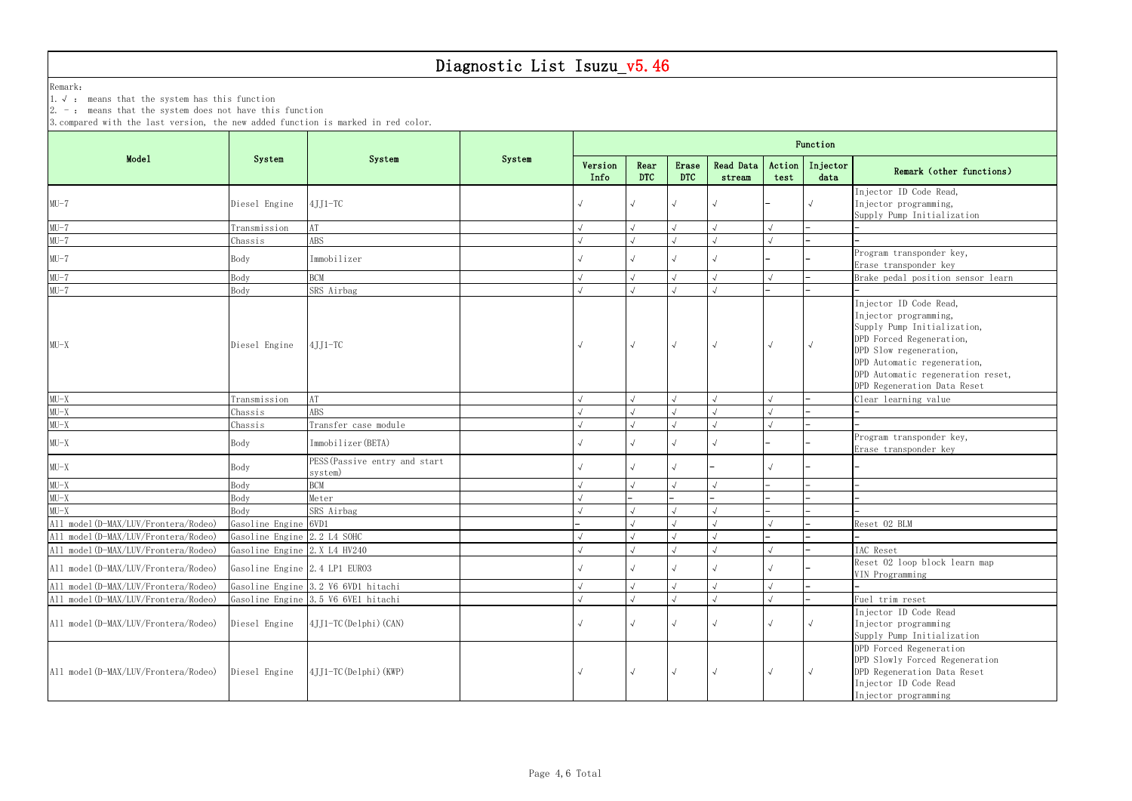Remark:

1.√ : means that the system has this function

 $\vert 2.$  -: means that the system does not have this function

3.compared with the last version, the new added function is marked in red color.

| data | Remain (Other functions)                                                      |
|------|-------------------------------------------------------------------------------|
|      | Injector ID Code Read,<br>Injector programming,<br>Supply Pump Initialization |
|      |                                                                               |
|      |                                                                               |
|      | Program transponder key,                                                      |

|                                                   | System                        | System                              | System | Function        |                    |                     |                     |                |                   |                                   |  |  |  |
|---------------------------------------------------|-------------------------------|-------------------------------------|--------|-----------------|--------------------|---------------------|---------------------|----------------|-------------------|-----------------------------------|--|--|--|
| Mode1                                             |                               |                                     |        | Version<br>Info | Rear<br><b>DTC</b> | Erase<br><b>DTC</b> | Read Data<br>stream | Action<br>test | Injector<br>data  | Remark (other functions)          |  |  |  |
|                                                   |                               |                                     |        |                 |                    |                     |                     |                |                   | Injector ID Code Read,            |  |  |  |
| $MU-7$                                            | Diesel Engine                 | $4JJ1-TC$                           |        |                 |                    |                     |                     |                |                   | Injector programming,             |  |  |  |
|                                                   |                               |                                     |        |                 |                    |                     |                     |                |                   | Supply Pump Initialization        |  |  |  |
| $MU-7$                                            | Transmission                  | $\rm AT$                            |        |                 |                    |                     |                     |                |                   |                                   |  |  |  |
| $MU-7$                                            | Chassis                       | ABS                                 |        |                 |                    |                     |                     |                |                   |                                   |  |  |  |
| $MU-7$                                            | Body                          | Immobilizer                         |        |                 |                    |                     |                     |                |                   | Program transponder key,          |  |  |  |
|                                                   |                               |                                     |        |                 |                    |                     |                     |                |                   | Erase transponder key             |  |  |  |
| $MU-7$                                            | Body                          | BCM                                 |        |                 |                    |                     |                     |                |                   | Brake pedal position sensor learn |  |  |  |
| $MU-7$                                            | Body                          | SRS Airbag                          |        |                 |                    |                     |                     |                |                   |                                   |  |  |  |
|                                                   |                               |                                     |        |                 |                    |                     |                     |                |                   | Injector ID Code Read,            |  |  |  |
|                                                   |                               |                                     |        |                 |                    |                     |                     |                |                   | Injector programming,             |  |  |  |
|                                                   |                               |                                     |        |                 |                    |                     |                     |                |                   | Supply Pump Initialization,       |  |  |  |
| $MU-X$                                            | Diesel Engine                 | $4JJ1-TC$                           |        |                 |                    |                     |                     |                |                   | DPD Forced Regeneration,          |  |  |  |
|                                                   |                               |                                     |        |                 |                    |                     |                     |                |                   | DPD Slow regeneration,            |  |  |  |
|                                                   |                               |                                     |        |                 |                    |                     |                     |                |                   | DPD Automatic regeneration,       |  |  |  |
|                                                   |                               |                                     |        |                 |                    |                     |                     |                |                   | DPD Automatic regeneration reset, |  |  |  |
|                                                   |                               |                                     |        |                 |                    |                     |                     |                |                   | DPD Regeneration Data Reset       |  |  |  |
| $MU-X$<br>$MU-X$                                  | Transmission                  | AT                                  |        |                 |                    |                     |                     |                |                   | Clear learning value              |  |  |  |
|                                                   | Chassis                       | ABS                                 |        |                 |                    |                     |                     |                |                   |                                   |  |  |  |
| $MU-X$                                            | Chassis                       | Transfer case module                |        |                 |                    |                     |                     |                |                   |                                   |  |  |  |
| $MU-X$                                            | Body                          | Immobilizer (BETA)                  |        |                 |                    |                     |                     |                |                   | Program transponder key,          |  |  |  |
|                                                   |                               |                                     |        |                 |                    |                     |                     |                |                   | Erase transponder key             |  |  |  |
| $MU-X$                                            | Body                          | PESS (Passive entry and start       |        |                 |                    |                     |                     |                |                   |                                   |  |  |  |
|                                                   |                               | system)                             |        |                 |                    |                     |                     |                |                   |                                   |  |  |  |
| $MU-X$                                            | Body                          | <b>BCM</b>                          |        |                 |                    |                     |                     |                |                   |                                   |  |  |  |
| $MU-X$                                            | Body                          | Meter                               |        |                 |                    |                     |                     |                |                   |                                   |  |  |  |
| $MU-X$                                            | Body                          | SRS Airbag                          |        |                 |                    |                     |                     |                |                   |                                   |  |  |  |
| All model(D-MAX/LUV/Frontera/Rodeo)               | Gasoline Engine 6VD1          |                                     |        |                 |                    |                     |                     |                |                   | Reset 02 BLM                      |  |  |  |
| All model(D-MAX/LUV/Frontera/Rodeo)               | Gasoline Engine 2.2 L4 SOHC   |                                     |        |                 |                    |                     |                     |                |                   |                                   |  |  |  |
| All model(D-MAX/LUV/Frontera/Rodeo)               | Gasoline Engine 2.X L4 HV240  |                                     |        |                 |                    |                     |                     |                |                   | IAC Reset                         |  |  |  |
| All model(D-MAX/LUV/Frontera/Rodeo)               | Gasoline Engine 2.4 LP1 EURO3 |                                     |        |                 |                    |                     |                     |                |                   | Reset O2 loop block learn map     |  |  |  |
|                                                   |                               |                                     |        |                 |                    |                     |                     |                |                   | VIN Programming                   |  |  |  |
| All model(D-MAX/LUV/Frontera/Rodeo)               |                               | Gasoline Engine 3.2 V6 6VD1 hitachi |        |                 |                    |                     |                     |                |                   |                                   |  |  |  |
| All model(D-MAX/LUV/Frontera/Rodeo)               |                               | Gasoline Engine 3.5 V6 6VE1 hitachi |        |                 |                    |                     |                     |                |                   | Fuel trim reset                   |  |  |  |
|                                                   |                               |                                     |        |                 |                    |                     |                     |                |                   | Injector ID Code Read             |  |  |  |
| All model(D-MAX/LUV/Frontera/Rodeo)               | Diesel Engine                 | $4$ JJ1-TC(Delphi)(CAN)             |        |                 |                    |                     |                     |                |                   | Injector programming              |  |  |  |
|                                                   |                               |                                     |        |                 |                    |                     |                     |                |                   | Supply Pump Initialization        |  |  |  |
|                                                   |                               |                                     |        |                 |                    |                     |                     |                |                   | DPD Forced Regeneration           |  |  |  |
|                                                   |                               |                                     |        |                 |                    |                     |                     |                |                   | DPD Slowly Forced Regeneration    |  |  |  |
| All model(D-MAX/LUV/Frontera/Rodeo) Diesel Engine |                               | 4JJ1-TC (Delphi) (KWP)              |        |                 |                    | $\sqrt{ }$          |                     | $\sqrt{ }$     | $\overline{\vee}$ | DPD Regeneration Data Reset       |  |  |  |
|                                                   |                               |                                     |        |                 |                    |                     |                     |                |                   | Injector ID Code Read             |  |  |  |
|                                                   |                               |                                     |        |                 |                    |                     |                     |                |                   | Injector programming              |  |  |  |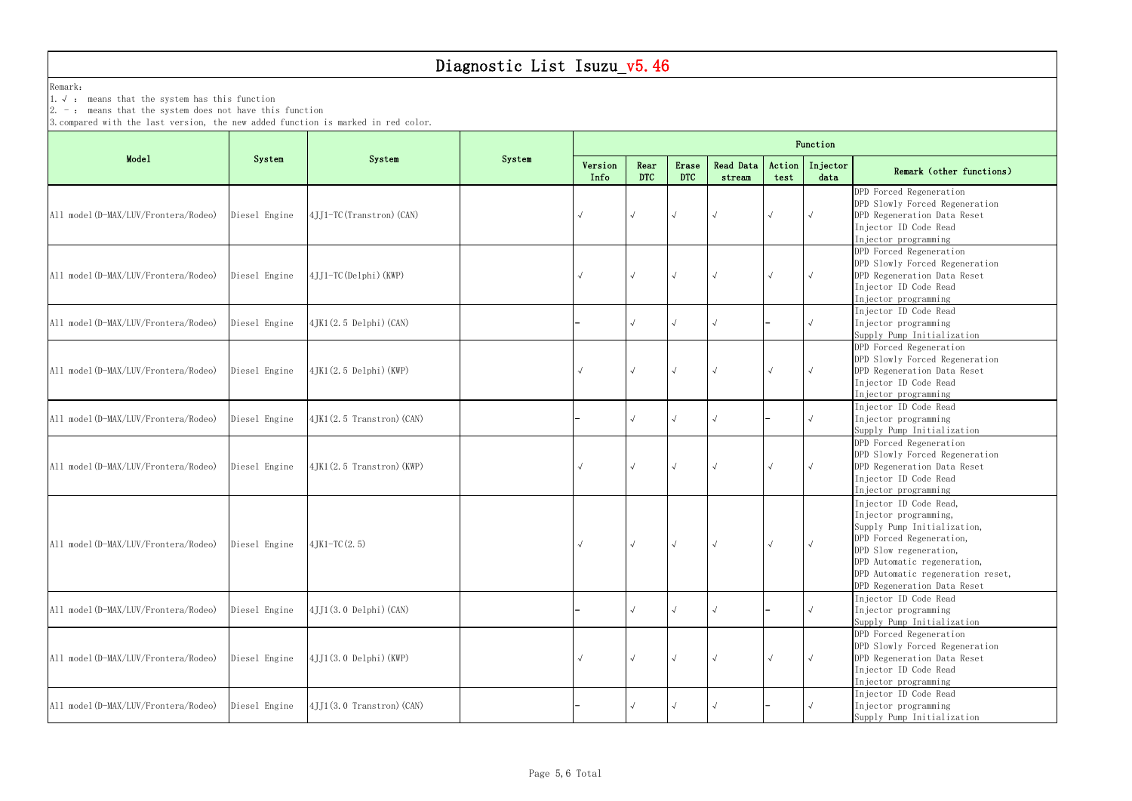Remark:

1.√ : means that the system has this function

 $\vert 2.$  -: means that the system does not have this function

3.compared with the last version, the new added function is marked in red color.

|                                     |               |                                   |        | Function        |                    |                     |                     |                |                  |                                                                                                                                                                                                                                         |  |  |  |
|-------------------------------------|---------------|-----------------------------------|--------|-----------------|--------------------|---------------------|---------------------|----------------|------------------|-----------------------------------------------------------------------------------------------------------------------------------------------------------------------------------------------------------------------------------------|--|--|--|
| Mode1                               | System        | System                            | System | Version<br>Info | Rear<br><b>DTC</b> | Erase<br><b>DTC</b> | Read Data<br>stream | Action<br>test | Injector<br>data | Remark (other functions)                                                                                                                                                                                                                |  |  |  |
| All model(D-MAX/LUV/Frontera/Rodeo) | Diesel Engine | 4JJ1-TC (Transtron) (CAN)         |        |                 | $\sqrt{ }$         | $\sqrt{ }$          |                     | $\sqrt{ }$     | $\sqrt{ }$       | DPD Forced Regeneration<br>DPD Slowly Forced Regeneration<br>DPD Regeneration Data Reset<br>Injector ID Code Read<br>Injector programming                                                                                               |  |  |  |
| All model(D-MAX/LUV/Frontera/Rodeo) | Diesel Engine | $4JJ1-TC (Delphi) (KWP)$          |        |                 |                    | $\sqrt{ }$          |                     | $\sim$         |                  | DPD Forced Regeneration<br>DPD Slowly Forced Regeneration<br>DPD Regeneration Data Reset<br>Injector ID Code Read<br>Injector programming                                                                                               |  |  |  |
| All model(D-MAX/LUV/Frontera/Rodeo) | Diesel Engine | $4$ JK1 $(2.5$ Delphi $)(CAN)$    |        |                 |                    |                     |                     |                |                  | Injector ID Code Read<br>Injector programming<br>Supply Pump Initialization                                                                                                                                                             |  |  |  |
| All model(D-MAX/LUV/Frontera/Rodeo) | Diesel Engine | 4JK1(2.5 Delphi)(KWP)             |        | $\sqrt{}$       | $\sqrt{ }$         | $\sqrt{ }$          |                     | $\sqrt{ }$     | $\sqrt{ }$       | DPD Forced Regeneration<br>DPD Slowly Forced Regeneration<br>DPD Regeneration Data Reset<br>Injector ID Code Read<br>Injector programming                                                                                               |  |  |  |
| All model(D-MAX/LUV/Frontera/Rodeo) | Diesel Engine | $4$ JK1 $(2.5$ Transtron $)(CAN)$ |        |                 |                    | $\sim$              |                     |                |                  | Injector ID Code Read<br>Injector programming<br>Supply Pump Initialization                                                                                                                                                             |  |  |  |
| All model(D-MAX/LUV/Frontera/Rodeo) | Diesel Engine | $4JK1(2.5 Transtron)$ (KWP)       |        | $\sqrt{}$       | $\sqrt{ }$         | $\sqrt{ }$          |                     | $\sqrt{ }$     |                  | DPD Forced Regeneration<br>DPD Slowly Forced Regeneration<br>DPD Regeneration Data Reset<br>Injector ID Code Read<br>Injector programming                                                                                               |  |  |  |
| All model(D-MAX/LUV/Frontera/Rodeo) | Diesel Engine | $4$ JK1-TC $(2.5)$                |        |                 |                    | $\sim$              |                     | $\sim$         |                  | Injector ID Code Read,<br>Injector programming,<br>Supply Pump Initialization,<br>DPD Forced Regeneration,<br>DPD Slow regeneration,<br>DPD Automatic regeneration,<br>DPD Automatic regeneration reset,<br>DPD Regeneration Data Reset |  |  |  |
| All model(D-MAX/LUV/Frontera/Rodeo) | Diesel Engine | $4JJ1(3.0 \text{ Delphi})$ (CAN)  |        |                 |                    | $\sqrt{ }$          |                     |                | $\sqrt{ }$       | Injector ID Code Read<br>Injector programming<br>Supply Pump Initialization                                                                                                                                                             |  |  |  |
| All model(D-MAX/LUV/Frontera/Rodeo) | Diesel Engine | $4JJ1(3.0 \text{ Delphi})$ (KWP)  |        | $\sqrt{}$       |                    | $\sim$              |                     | $\sqrt{ }$     |                  | DPD Forced Regeneration<br>DPD Slowly Forced Regeneration<br>DPD Regeneration Data Reset<br>Injector ID Code Read<br>Injector programming                                                                                               |  |  |  |
| All model(D-MAX/LUV/Frontera/Rodeo) | Diesel Engine | 4JJ1(3.0 Transtron) (CAN)         |        |                 |                    |                     |                     |                |                  | Injector ID Code Read<br>Injector programming<br>Supply Pump Initialization                                                                                                                                                             |  |  |  |

#### data Remark (other functions)